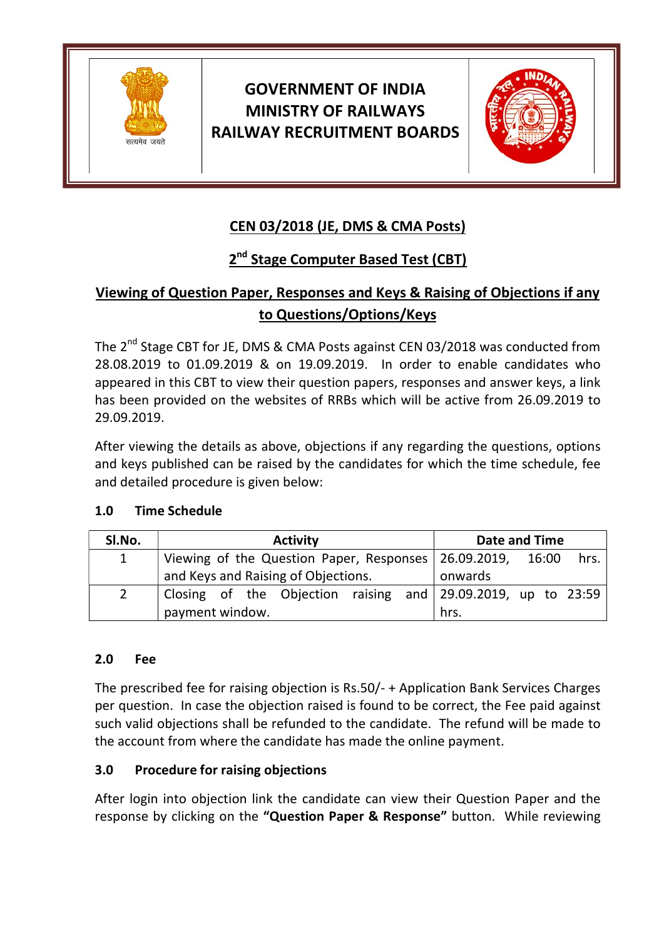

# GOVERNMENT OF INDIA MINISTRY OF RAILWAYS RAILWAY RECRUITMENT BOARDS



## CEN 03/2018 (JE, DMS & CMA Posts)

### 2<sup>nd</sup> Stage Computer Based Test (CBT)

## Viewing of Question Paper, Responses and Keys & Raising of Objections if any to Questions/Options/Keys

The 2<sup>nd</sup> Stage CBT for JE, DMS & CMA Posts against CEN 03/2018 was conducted from 28.08.2019 to 01.09.2019 & on 19.09.2019. In order to enable candidates who appeared in this CBT to view their question papers, responses and answer keys, a link has been provided on the websites of RRBs which will be active from 26.09.2019 to 29.09.2019.

After viewing the details as above, objections if any regarding the questions, options and keys published can be raised by the candidates for which the time schedule, fee and detailed procedure is given below:

#### 1.0 Time Schedule

| SI.No.         | <b>Activity</b>                                              |  | Date and Time |      |  |
|----------------|--------------------------------------------------------------|--|---------------|------|--|
| $\mathbf{1}$   | Viewing of the Question Paper, Responses   26.09.2019, 16:00 |  |               | hrs. |  |
|                | and Keys and Raising of Objections.                          |  | onwards       |      |  |
| $\overline{2}$ | Closing of the Objection raising and 29.09.2019, up to 23:59 |  |               |      |  |
|                | payment window.                                              |  | hrs.          |      |  |

#### 2.0 Fee

The prescribed fee for raising objection is Rs.50/- + Application Bank Services Charges per question. In case the objection raised is found to be correct, the Fee paid against such valid objections shall be refunded to the candidate. The refund will be made to the account from where the candidate has made the online payment.

#### 3.0 Procedure for raising objections

After login into objection link the candidate can view their Question Paper and the response by clicking on the "Question Paper & Response" button. While reviewing